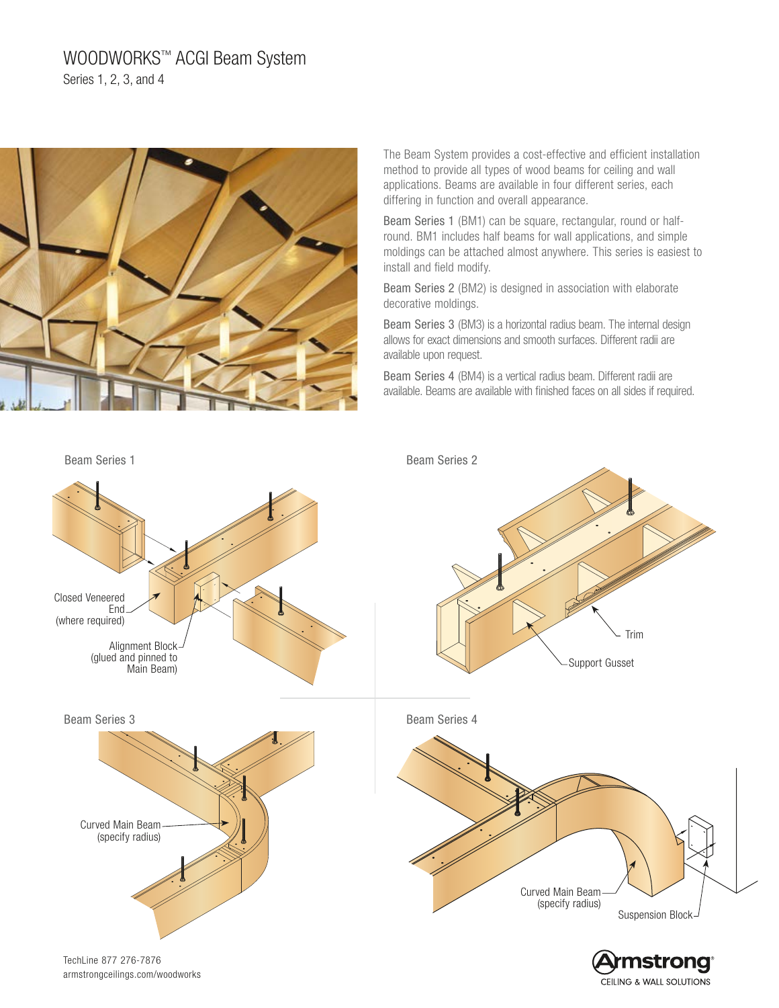# WOODWORKS™ ACGI Beam System Series 1, 2, 3, and 4



The Beam System provides a cost-effective and efficient installation method to provide all types of wood beams for ceiling and wall applications. Beams are available in four different series, each differing in function and overall appearance.

Beam Series 1 (BM1) can be square, rectangular, round or halfround. BM1 includes half beams for wall applications, and simple moldings can be attached almost anywhere. This series is easiest to install and field modify.

Beam Series 2 (BM2) is designed in association with elaborate decorative moldings.

Beam Series 3 (BM3) is a horizontal radius beam. The internal design allows for exact dimensions and smooth surfaces. Different radii are available upon request.

Beam Series 4 (BM4) is a vertical radius beam. Different radii are available. Beams are available with finished faces on all sides if required.

CEILING & WALL SOLUTIONS



armstrongceilings.com/woodworks